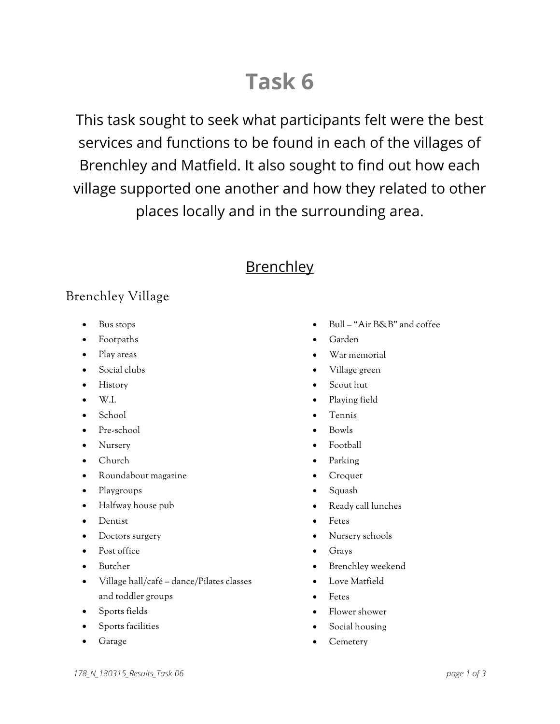# **Task 6**

This task sought to seek what participants felt were the best services and functions to be found in each of the villages of Brenchley and Matfield. It also sought to find out how each village supported one another and how they related to other places locally and in the surrounding area.

# **Brenchley**

## Brenchley Village

- Bus stops
- Footpaths
- Play areas
- Social clubs
- History
- W.I.
- School
- Pre-school
- Nursery
- Church
- Roundabout magazine
- Playgroups
- Halfway house pub
- Dentist
- Doctors surgery
- Post office
- Butcher
- Village hall/café dance/Pilates classes and toddler groups
- Sports fields
- Sports facilities
- **Garage**
- Bull "Air B&B" and coffee
- Garden
- War memorial
- Village green
- Scout hut
- Playing field
- Tennis
- Bowls
- Football
- Parking
- Croquet
- Squash
- Ready call lunches
- Fetes
- Nursery schools
- Grays
- Brenchley weekend
- Love Matfield
- Fetes
- Flower shower
- Social housing
- Cemetery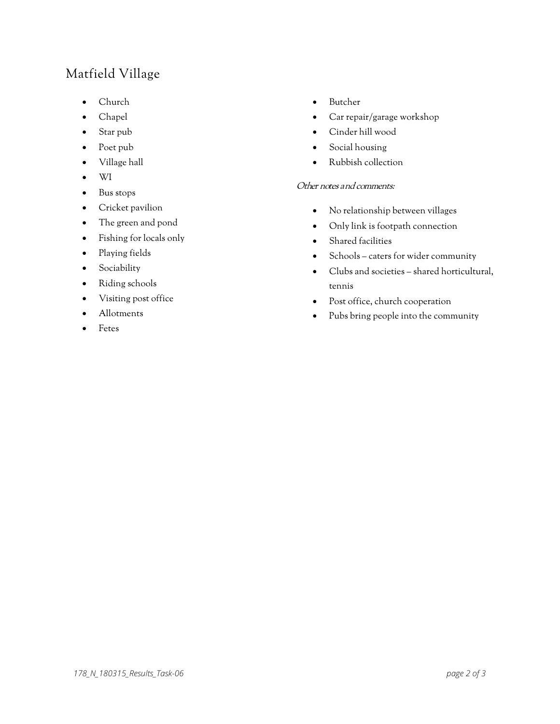## Matfield Village

- Church
- Chapel
- Star pub
- Poet pub
- Village hall
- WI
- Bus stops
- Cricket pavilion
- The green and pond
- Fishing for locals only
- Playing fields
- Sociability
- Riding schools
- Visiting post office
- Allotments
- **Fetes**
- Butcher
- Car repair/garage workshop
- Cinder hill wood
- Social housing
- Rubbish collection

#### Other notes and comments:

- No relationship between villages
- Only link is footpath connection
- Shared facilities
- Schools caters for wider community
- Clubs and societies shared horticultural, tennis
- Post office, church cooperation
- Pubs bring people into the community